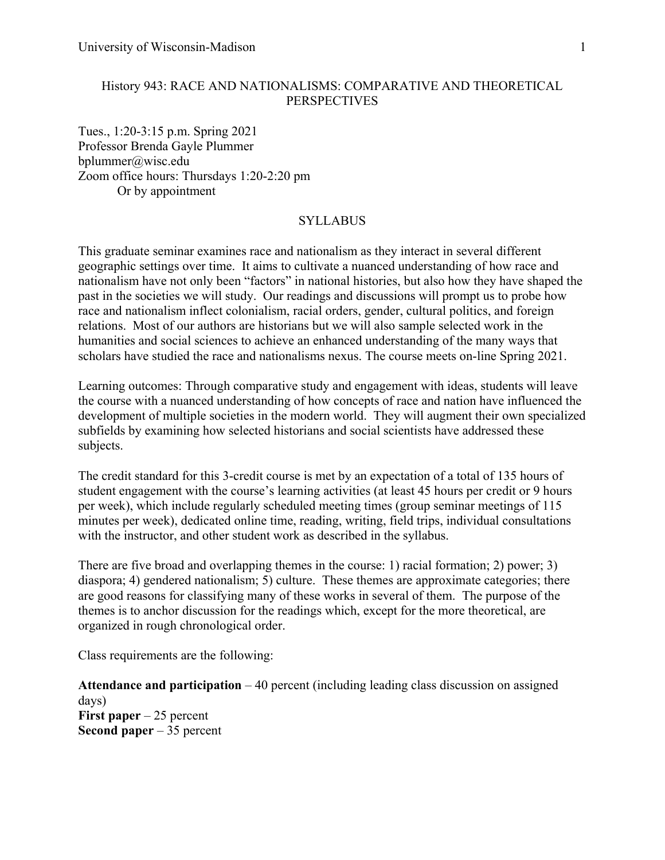# History 943: RACE AND NATIONALISMS: COMPARATIVE AND THEORETICAL **PERSPECTIVES**

Tues., 1:20-3:15 p.m. Spring 2021 Professor Brenda Gayle Plummer bplummer@wisc.edu Zoom office hours: Thursdays 1:20-2:20 pm Or by appointment

## SYLLABUS

This graduate seminar examines race and nationalism as they interact in several different geographic settings over time. It aims to cultivate a nuanced understanding of how race and nationalism have not only been "factors" in national histories, but also how they have shaped the past in the societies we will study. Our readings and discussions will prompt us to probe how race and nationalism inflect colonialism, racial orders, gender, cultural politics, and foreign relations. Most of our authors are historians but we will also sample selected work in the humanities and social sciences to achieve an enhanced understanding of the many ways that scholars have studied the race and nationalisms nexus. The course meets on-line Spring 2021.

Learning outcomes: Through comparative study and engagement with ideas, students will leave the course with a nuanced understanding of how concepts of race and nation have influenced the development of multiple societies in the modern world. They will augment their own specialized subfields by examining how selected historians and social scientists have addressed these subjects.

The credit standard for this 3-credit course is met by an expectation of a total of 135 hours of student engagement with the course's learning activities (at least 45 hours per credit or 9 hours per week), which include regularly scheduled meeting times (group seminar meetings of 115 minutes per week), dedicated online time, reading, writing, field trips, individual consultations with the instructor, and other student work as described in the syllabus.

There are five broad and overlapping themes in the course: 1) racial formation; 2) power; 3) diaspora; 4) gendered nationalism; 5) culture. These themes are approximate categories; there are good reasons for classifying many of these works in several of them. The purpose of the themes is to anchor discussion for the readings which, except for the more theoretical, are organized in rough chronological order.

Class requirements are the following:

**Attendance and participation** – 40 percent (including leading class discussion on assigned days) **First paper** – 25 percent **Second paper** – 35 percent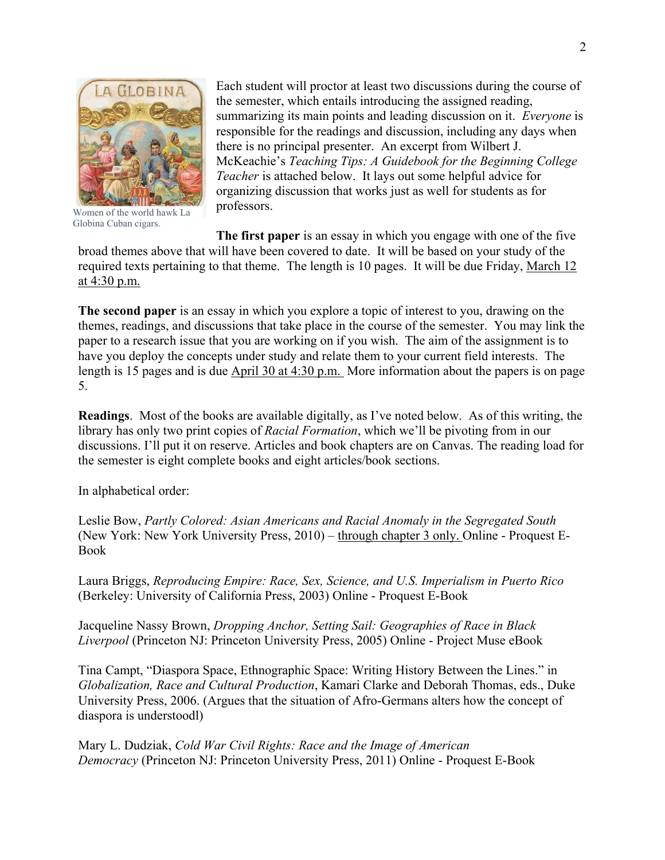

W*o*men of the world hawk La Globina Cuban cigars.

Each student will proctor at least two discussions during the course of the semester, which entails introducing the assigned reading, summarizing its main points and leading discussion on it. *Everyone* is responsible for the readings and discussion, including any days when there is no principal presenter. An excerpt from Wilbert J. McKeachie's *Teaching Tips: A Guidebook for the Beginning College Teacher* is attached below. It lays out some helpful advice for organizing discussion that works just as well for students as for professors.

**The first paper** is an essay in which you engage with one of the five

broad themes above that will have been covered to date. It will be based on your study of the required texts pertaining to that theme. The length is 10 pages. It will be due Friday, March 12 at 4:30 p.m.

**The second paper** is an essay in which you explore a topic of interest to you, drawing on the themes, readings, and discussions that take place in the course of the semester. You may link the paper to a research issue that you are working on if you wish. The aim of the assignment is to have you deploy the concepts under study and relate them to your current field interests. The length is 15 pages and is due April 30 at 4:30 p.m. More information about the papers is on page 5.

**Readings**. Most of the books are available digitally, as I've noted below. As of this writing, the library has only two print copies of *Racial Formation*, which we'll be pivoting from in our discussions. I'll put it on reserve. Articles and book chapters are on Canvas. The reading load for the semester is eight complete books and eight articles/book sections.

In alphabetical order:

Leslie Bow, *Partly Colored: Asian Americans and Racial Anomaly in the Segregated South* (New York: New York University Press, 2010) – through chapter 3 only. Online - Proquest E-Book

Laura Briggs, *Reproducing Empire: Race, Sex, Science, and U.S. Imperialism in Puerto Rico*  (Berkeley: University of California Press, 2003) Online - Proquest E-Book

Jacqueline Nassy Brown, *Dropping Anchor, Setting Sail: Geographies of Race in Black Liverpool* (Princeton NJ: Princeton University Press, 2005) Online - Project Muse eBook

Tina Campt, "Diaspora Space, Ethnographic Space: Writing History Between the Lines." in *Globalization, Race and Cultural Production*, Kamari Clarke and Deborah Thomas, eds., Duke University Press, 2006. (Argues that the situation of Afro-Germans alters how the concept of diaspora is understoodl)

Mary L. Dudziak, *Cold War Civil Rights: Race and the Image of American Democracy* (Princeton NJ: Princeton University Press, 2011) Online - Proquest E-Book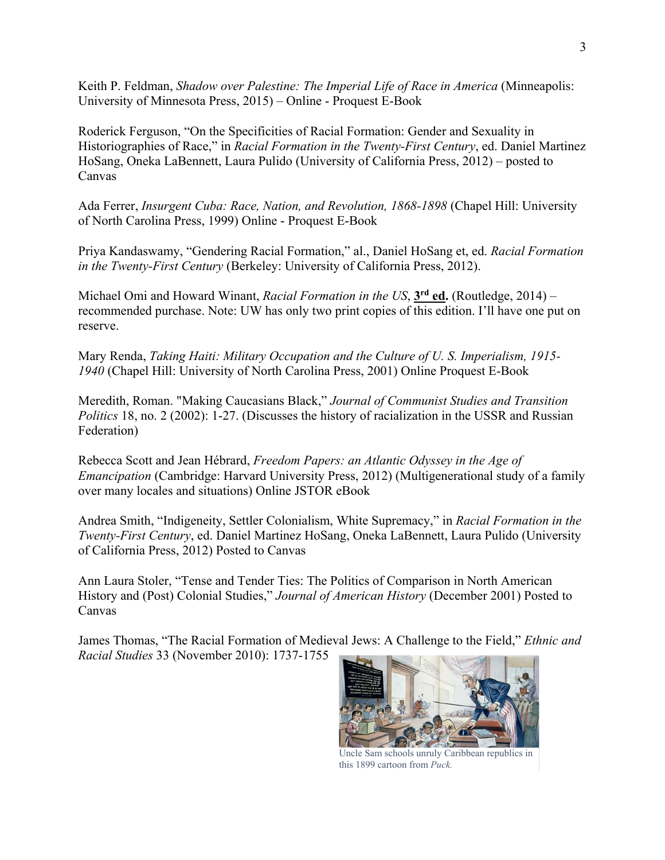Keith P. Feldman, *Shadow over Palestine: The Imperial Life of Race in America* (Minneapolis: University of Minnesota Press, 2015) – Online - Proquest E-Book

Roderick Ferguson, "On the Specificities of Racial Formation: Gender and Sexuality in Historiographies of Race," in *Racial Formation in the Twenty-First Century*, ed. Daniel Martinez HoSang, Oneka LaBennett, Laura Pulido (University of California Press, 2012) – posted to Canvas

Ada Ferrer, *Insurgent Cuba: Race, Nation, and Revolution, 1868-1898* (Chapel Hill: University of North Carolina Press, 1999) Online - Proquest E-Book

Priya Kandaswamy, "Gendering Racial Formation," al., Daniel HoSang et, ed. *Racial Formation in the Twenty-First Century* (Berkeley: University of California Press, 2012).

Michael Omi and Howard Winant, *Racial Formation in the US*, 3<sup>rd</sup> ed. (Routledge, 2014) – recommended purchase. Note: UW has only two print copies of this edition. I'll have one put on reserve.

Mary Renda, *Taking Haiti: Military Occupation and the Culture of U. S. Imperialism, 1915- 1940* (Chapel Hill: University of North Carolina Press, 2001) Online Proquest E-Book

Meredith, Roman. "Making Caucasians Black," *Journal of Communist Studies and Transition Politics* 18, no. 2 (2002): 1-27. (Discusses the history of racialization in the USSR and Russian Federation)

Rebecca Scott and Jean Hébrard, *Freedom Papers: an Atlantic Odyssey in the Age of Emancipation* (Cambridge: Harvard University Press, 2012) (Multigenerational study of a family over many locales and situations) Online JSTOR eBook

Andrea Smith, "Indigeneity, Settler Colonialism, White Supremacy," in *Racial Formation in the Twenty-First Century*, ed. Daniel Martinez HoSang, Oneka LaBennett, Laura Pulido (University of California Press, 2012) Posted to Canvas

Ann Laura Stoler, "Tense and Tender Ties: The Politics of Comparison in North American History and (Post) Colonial Studies," *Journal of American History* (December 2001) Posted to Canvas

James Thomas, "The Racial Formation of Medieval Jews: A Challenge to the Field," *Ethnic and Racial Studies* 33 (November 2010): 1737-1755



Uncle Sam schools unruly Caribbean republics in this 1899 cartoon from *Puck.*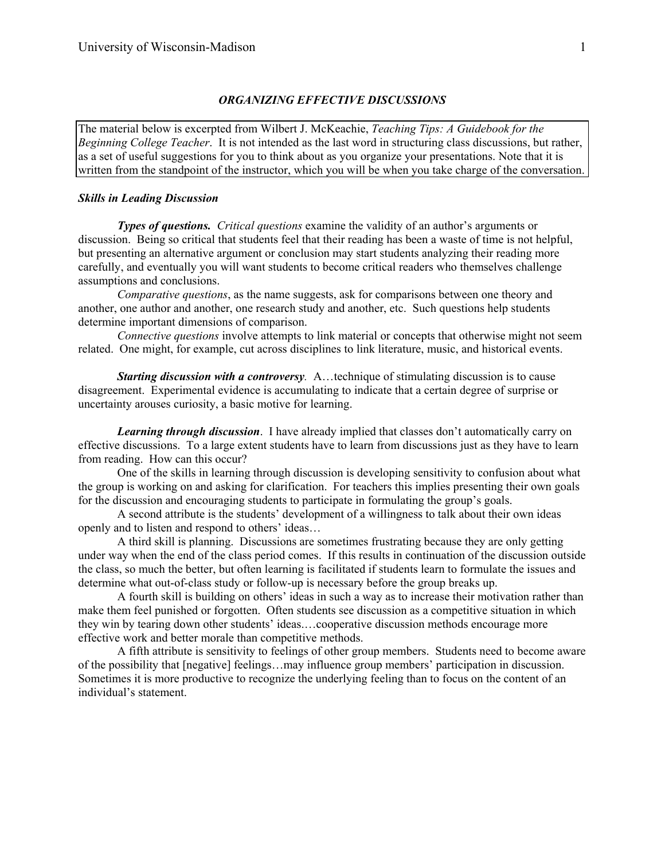#### *ORGANIZING EFFECTIVE DISCUSSIONS*

The material below is excerpted from Wilbert J. McKeachie, *Teaching Tips: A Guidebook for the Beginning College Teacher*. It is not intended as the last word in structuring class discussions, but rather, as a set of useful suggestions for you to think about as you organize your presentations. Note that it is written from the standpoint of the instructor, which you will be when you take charge of the conversation.

#### *Skills in Leading Discussion*

*Types of questions. Critical questions* examine the validity of an author's arguments or discussion. Being so critical that students feel that their reading has been a waste of time is not helpful, but presenting an alternative argument or conclusion may start students analyzing their reading more carefully, and eventually you will want students to become critical readers who themselves challenge assumptions and conclusions.

*Comparative questions*, as the name suggests, ask for comparisons between one theory and another, one author and another, one research study and another, etc. Such questions help students determine important dimensions of comparison.

*Connective questions* involve attempts to link material or concepts that otherwise might not seem related. One might, for example, cut across disciplines to link literature, music, and historical events.

*Starting discussion with a controversy.* A…technique of stimulating discussion is to cause disagreement. Experimental evidence is accumulating to indicate that a certain degree of surprise or uncertainty arouses curiosity, a basic motive for learning.

*Learning through discussion*. I have already implied that classes don't automatically carry on effective discussions. To a large extent students have to learn from discussions just as they have to learn from reading. How can this occur?

One of the skills in learning through discussion is developing sensitivity to confusion about what the group is working on and asking for clarification. For teachers this implies presenting their own goals for the discussion and encouraging students to participate in formulating the group's goals.

A second attribute is the students' development of a willingness to talk about their own ideas openly and to listen and respond to others' ideas…

A third skill is planning. Discussions are sometimes frustrating because they are only getting under way when the end of the class period comes. If this results in continuation of the discussion outside the class, so much the better, but often learning is facilitated if students learn to formulate the issues and determine what out-of-class study or follow-up is necessary before the group breaks up.

A fourth skill is building on others' ideas in such a way as to increase their motivation rather than make them feel punished or forgotten. Often students see discussion as a competitive situation in which they win by tearing down other students' ideas.…cooperative discussion methods encourage more effective work and better morale than competitive methods.

A fifth attribute is sensitivity to feelings of other group members. Students need to become aware of the possibility that [negative] feelings…may influence group members' participation in discussion. Sometimes it is more productive to recognize the underlying feeling than to focus on the content of an individual's statement.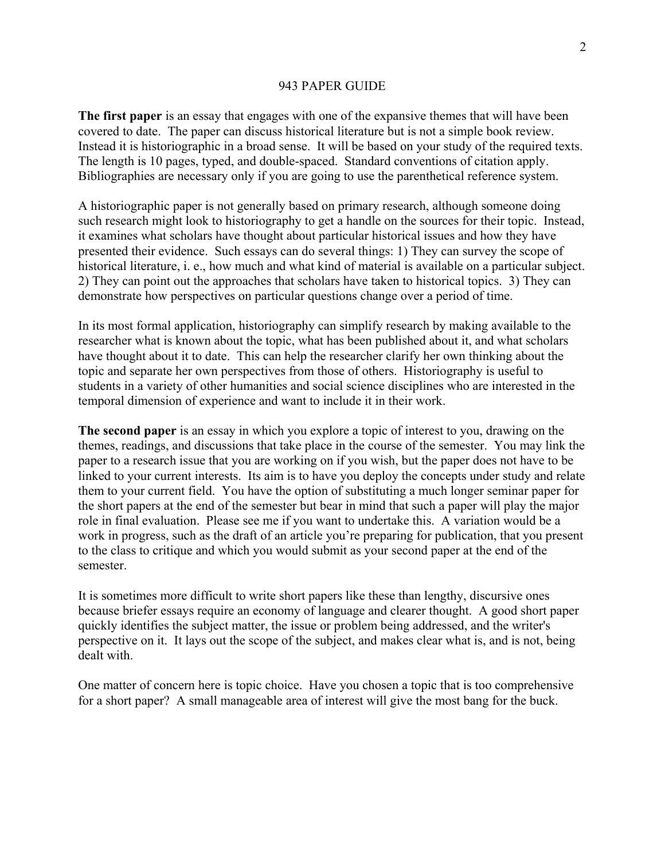### 943 PAPER GUIDE

**The first paper** is an essay that engages with one of the expansive themes that will have been covered to date. The paper can discuss historical literature but is not a simple book review. Instead it is historiographic in a broad sense. It will be based on your study of the required texts. The length is 10 pages, typed, and double-spaced. Standard conventions of citation apply. Bibliographies are necessary only if you are going to use the parenthetical reference system.

A historiographic paper is not generally based on primary research, although someone doing such research might look to historiography to get a handle on the sources for their topic. Instead, it examines what scholars have thought about particular historical issues and how they have presented their evidence. Such essays can do several things: 1) They can survey the scope of historical literature, i. e., how much and what kind of material is available on a particular subject. 2) They can point out the approaches that scholars have taken to historical topics. 3) They can demonstrate how perspectives on particular questions change over a period of time.

In its most formal application, historiography can simplify research by making available to the researcher what is known about the topic, what has been published about it, and what scholars have thought about it to date. This can help the researcher clarify her own thinking about the topic and separate her own perspectives from those of others. Historiography is useful to students in a variety of other humanities and social science disciplines who are interested in the temporal dimension of experience and want to include it in their work.

**The second paper** is an essay in which you explore a topic of interest to you, drawing on the themes, readings, and discussions that take place in the course of the semester. You may link the paper to a research issue that you are working on if you wish, but the paper does not have to be linked to your current interests. Its aim is to have you deploy the concepts under study and relate them to your current field. You have the option of substituting a much longer seminar paper for the short papers at the end of the semester but bear in mind that such a paper will play the major role in final evaluation. Please see me if you want to undertake this. A variation would be a work in progress, such as the draft of an article you're preparing for publication, that you present to the class to critique and which you would submit as your second paper at the end of the semester.

It is sometimes more difficult to write short papers like these than lengthy, discursive ones because briefer essays require an economy of language and clearer thought. A good short paper quickly identifies the subject matter, the issue or problem being addressed, and the writer's perspective on it. It lays out the scope of the subject, and makes clear what is, and is not, being dealt with.

One matter of concern here is topic choice. Have you chosen a topic that is too comprehensive for a short paper? A small manageable area of interest will give the most bang for the buck.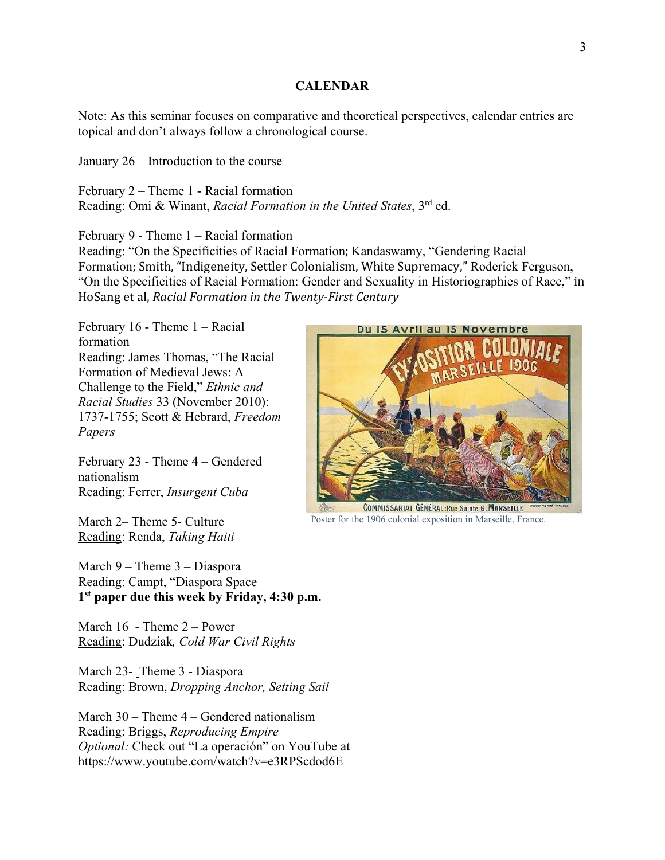### **CALENDAR**

Note: As this seminar focuses on comparative and theoretical perspectives, calendar entries are topical and don't always follow a chronological course.

January 26 – Introduction to the course

February 2 – Theme 1 - Racial formation Reading: Omi & Winant, *Racial Formation in the United States*, 3rd ed.

February 9 - Theme 1 – Racial formation

Reading: "On the Specificities of Racial Formation; Kandaswamy, "Gendering Racial Formation; Smith, "Indigeneity, Settler Colonialism, White Supremacy," Roderick Ferguson, "On the Specificities of Racial Formation: Gender and Sexuality in Historiographies of Race," in HoSang et al, *Racial Formation in the Twenty‐First Century*

February 16 - Theme 1 – Racial formation Reading: James Thomas, "The Racial Formation of Medieval Jews: A Challenge to the Field," *Ethnic and Racial Studies* 33 (November 2010): 1737-1755; Scott & Hebrard, *Freedom Papers* 

February 23 - Theme 4 – Gendered nationalism Reading: Ferrer, *Insurgent Cuba* 

March 2– Theme 5- Culture Reading: Renda, *Taking Haiti* 

March 9 – Theme 3 – Diaspora Reading: Campt, "Diaspora Space **1st paper due this week by Friday, 4:30 p.m.**

March 16 - Theme 2 – Power Reading: Dudziak*, Cold War Civil Rights* 

March 23- Theme 3 - Diaspora Reading: Brown, *Dropping Anchor, Setting Sail*

March 30 – Theme 4 – Gendered nationalism Reading: Briggs, *Reproducing Empire Optional:* Check out "La operación" on YouTube at https://www.youtube.com/watch?v=e3RPScdod6E



Poster for the 1906 colonial exposition in Marseille, France.